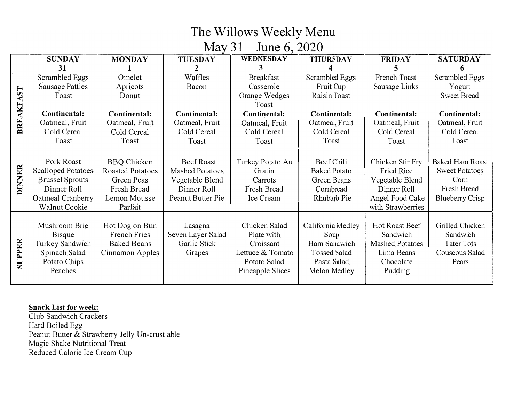### **Mav 31 - June 6q 2020**

|        | <b>SUNDAY</b>             | <b>MONDAY</b>           | <b>TUESDAY</b>         | WEDNESDAY        | <b>THURSDAY</b>     | <b>FRIDAY</b>          | <b>SATURDAY</b>        |
|--------|---------------------------|-------------------------|------------------------|------------------|---------------------|------------------------|------------------------|
|        | 31                        |                         | 2                      | 3                |                     |                        |                        |
|        | <b>Scrambled Eggs</b>     | Omelet                  | Waffles                | <b>Breakfast</b> | Scrambled Eggs      | French Toast           | Scrambled Eggs         |
|        | Sausage Patties           | Apricots                | Bacon                  | Casserole        | Fruit Cup           | Sausage Links          | Yogurt                 |
| AST    | Toast                     | Donut                   |                        | Orange Wedges    | Raisin Toast        |                        | <b>Sweet Bread</b>     |
|        |                           |                         |                        | Toast            |                     |                        |                        |
| BREAKF | Continental:              | Continental:            | Continental:           | Continental:     | Continental:        | Continental:           | Continental:           |
|        | Oatmeal, Fruit            | Oatmeal, Fruit          | Oatmeal, Fruit         | Oatmeal, Fruit   | Oatmeal, Fruit      | Oatmeal, Fruit         | Oatmeal, Fruit         |
|        | Cold Cereal               | Cold Cereal             | Cold Cereal            | Cold Cereal      | Cold Cereal         | Cold Cereal            | Cold Cereal            |
|        | Toast                     | Toast                   | Toast                  | Toast            | Toast               | Toast                  | Toast                  |
|        |                           |                         |                        |                  |                     |                        |                        |
| DINNER | Pork Roast                | <b>BBQ</b> Chicken      | Beef Roast             | Turkey Potato Au | Beef Chili          | Chicken Stir Fry       | <b>Baked Ham Roast</b> |
|        | <b>Scalloped Potatoes</b> | <b>Roasted Potatoes</b> | <b>Mashed Potatoes</b> | Gratin           | <b>Baked Potato</b> | Fried Rice             | <b>Sweet Potatoes</b>  |
|        | <b>Brussel Sprouts</b>    | Green Peas              | Vegetable Blend        | Carrots          | Green Beans         | Vegetable Blend        | Com                    |
|        | Dinner Roll               | Fresh Bread             | Dinner Roll            | Fresh Bread      | Cornbread           | Dinner Roll            | Fresh Bread            |
|        | Oatmeal Cranberry         | Lemon Mousse            | Peanut Butter Pie      | Ice Cream        | Rhubarb Pie         | Angel Food Cake        | <b>Blueberry Crisp</b> |
|        | <b>Walnut Cookie</b>      | Parfait                 |                        |                  |                     | with Strawberries      |                        |
|        |                           |                         |                        |                  |                     |                        |                        |
|        | Mushroom Brie             | Hot Dog on Bun          | Lasagna                | Chicken Salad    | California Medley   | Hot Roast Beef         | Grilled Chicken        |
|        | <b>Bisque</b>             | French Fries            | Seven Layer Salad      | Plate with       | Soup                | Sandwich               | Sandwich               |
| SUPPER | Turkey Sandwich           | <b>Baked Beans</b>      | Garlic Stick           | Croissant        | Ham Sandwich        | <b>Mashed Potatoes</b> | <b>Tater Tots</b>      |
|        | Spinach Salad             | Cinnamon Apples         | Grapes                 | Lettuce & Tomato | <b>Tossed Salad</b> | Lima Beans             | Couscous Salad         |
|        | Potato Chips              |                         |                        | Potato Salad     | Pasta Salad         | Chocolate              | Pears                  |
|        | Peaches                   |                         |                        | Pineapple Slices | Melon Medley        | Pudding                |                        |
|        |                           |                         |                        |                  |                     |                        |                        |

#### **Snack List for week:**

Club Sandwich Crackers Hard Boiled Egg Peanut Butter & Strawberry Jelly Un-crust able Magic Shake Nutritional Treat Reduced Calorie Ice Cream Cup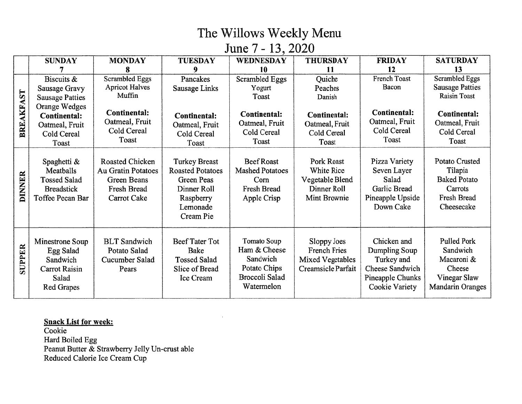June 7 - 13, 2020

|               | <b>SUNDAY</b>                                                                            | <b>MONDAY</b>                                                                                           | <b>TUESDAY</b>                                                                                                            | <b>WEDNESDAY</b>                                                                         | <b>THURSDAY</b>                                                                   | <b>FRIDAY</b>                                                                                       | <b>SATURDAY</b>                                                                                   |
|---------------|------------------------------------------------------------------------------------------|---------------------------------------------------------------------------------------------------------|---------------------------------------------------------------------------------------------------------------------------|------------------------------------------------------------------------------------------|-----------------------------------------------------------------------------------|-----------------------------------------------------------------------------------------------------|---------------------------------------------------------------------------------------------------|
|               |                                                                                          |                                                                                                         | 9                                                                                                                         | 10                                                                                       | -11                                                                               | 12                                                                                                  | 13                                                                                                |
| BREAKFAST     | Biscuits &<br>Sausage Gravy<br><b>Sausage Patties</b>                                    | Scrambled Eggs<br><b>Apricot Halves</b><br>Muffin                                                       | Pancakes<br>Sausage Links                                                                                                 | Scrambled Eggs<br>Yogurt<br>Toast                                                        | Quiche<br>Peaches<br>Danish                                                       | French Toast<br>Bacon                                                                               | <b>Scrambled Eggs</b><br><b>Sausage Patties</b><br><b>Raisin Toast</b>                            |
|               | Orange Wedges<br><b>Continental:</b><br>Oatmeal, Fruit<br>Cold Cereal<br>Toast           | Continental:<br>Oatmeal, Fruit<br>Cold Cereal<br>Toast                                                  | Continental:<br>Oatmeal, Fruit<br>Cold Cereal<br>Toast                                                                    | Continental:<br>Oatmeal, Fruit<br>Cold Cereal<br>Toast                                   | <b>Continental:</b><br>Oatmeal, Fruit<br>Cold Cereal<br>Toast                     | Continental:<br>Oatmeal, Fruit<br>Cold Cereal<br>Toast                                              | <b>Continental:</b><br>Oatmeal, Fruit<br>Cold Cereal<br>Toast                                     |
| <b>DINNER</b> | Spaghetti &<br>Meatballs<br><b>Tossed Salad</b><br><b>Breadstick</b><br>Toffee Pecan Bar | <b>Roasted Chicken</b><br><b>Au Gratin Potatoes</b><br><b>Green Beans</b><br>Fresh Bread<br>Carrot Cake | <b>Turkey Breast</b><br><b>Roasted Potatoes</b><br><b>Green Peas</b><br>Dinner Roll<br>Raspberry<br>Lemonade<br>Cream Pie | <b>Beef Roast</b><br><b>Mashed Potatoes</b><br>Corn<br><b>Fresh Bread</b><br>Apple Crisp | Pork Roast<br><b>White Rice</b><br>Vegetable Blend<br>Dinner Roll<br>Mint Brownie | Pizza Variety<br>Seven Layer<br>Salad<br>Garlic Bread<br>Pineapple Upside<br>Down Cake              | Potato Crusted<br>Tilapia<br><b>Baked Potato</b><br>Carrots<br>Fresh Bread<br>Cheesecake          |
| <b>SUPPER</b> | Minestrone Soup<br>Egg Salad<br>Sandwich<br>Carrot Raisin<br>Salad<br>Red Grapes         | <b>BLT</b> Sandwich<br>Potato Salad<br>Cucumber Salad<br>Pears                                          | <b>Beef Tater Tot</b><br>Bake<br><b>Tossed Salad</b><br>Slice of Bread<br>Ice Cream                                       | Tomato Soup<br>Ham & Cheese<br>Sandwich<br>Potato Chips<br>Broccoli Salad<br>Watermelon  | Sloppy Joes<br><b>French Fries</b><br>Mixed Vegetables<br>Creamsicle Parfait      | Chicken and<br>Dumpling Soup<br>Turkey and<br>Cheese Sandwich<br>Pineapple Chunks<br>Cookie Variety | <b>Pulled Pork</b><br>Sandwich<br>Macaroni &<br>Cheese<br>Vinegar Slaw<br><b>Mandarin Oranges</b> |

**Snack List for week:** Cookie Hard Boiled Egg<br>Peanut Butter & Strawberry Jelly Un-crust able Reduced Calorie Ice Cream Cup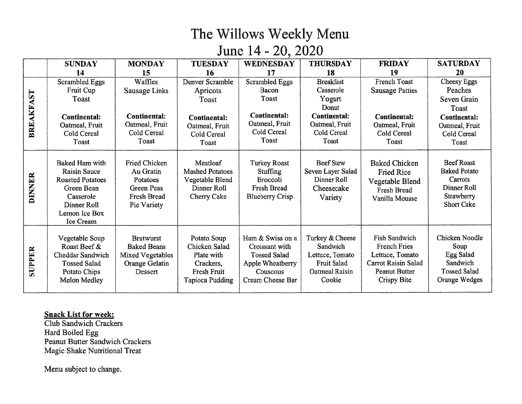# June 14 - 20, 2020

|               | <b>SUNDAY</b>            | <b>MONDAY</b>       | <b>TUESDAY</b>         | <b>WEDNESDAY</b>       | <b>THURSDAY</b>       | <b>FRIDAY</b>              | <b>SATURDAY</b>                 |
|---------------|--------------------------|---------------------|------------------------|------------------------|-----------------------|----------------------------|---------------------------------|
|               | 14                       | 15                  | 16                     | 17                     | 18                    | 19                         | 20                              |
|               | <b>Scrambled Eggs</b>    | Waffles             | Denver Scramble        | <b>Scrambled Eggs</b>  | <b>Breakfast</b>      | French Toast               | Cheesy Eggs                     |
|               | Fruit Cup                | Sausage Links       | Apricots               | Bacon                  | Casserole             | <b>Sausage Patties</b>     | Peaches                         |
| BREAKFAST     | Toast                    |                     | Toast                  | Toast                  | Yogurt                |                            | Seven Grain                     |
|               |                          |                     |                        |                        | Donut                 |                            | Toast                           |
|               | <b>Continental:</b>      | <b>Continental:</b> | Continental:           | <b>Continental:</b>    | <b>Continental:</b>   | <b>Continental:</b>        | <b>Continental:</b>             |
|               | Oatmeal, Fruit           | Oatmeal, Fruit      | Oatmeal, Fruit         | Oatmeal, Fruit         | Oatmeal, Fruit        | Oatmeal, Fruit             | Oatmeal, Fruit                  |
|               | Cold Cereal              | Cold Cereal         | Cold Cereal            | Cold Cereal            | Cold Cereal           | Cold Cereal                | Cold Cereal                     |
|               | Toast                    | Toast               | Toast                  | Toast                  | Toast                 | Toast                      | Toast                           |
|               |                          |                     |                        |                        |                       |                            |                                 |
|               | Baked Ham with           | Fried Chicken       | Meatloaf               | <b>Turkey Roast</b>    | <b>Beef Stew</b>      | <b>Baked Chicken</b>       | <b>Beef Roast</b>               |
|               | <b>Raisin Sauce</b>      | Au Gratin           | <b>Mashed Potatoes</b> | Stuffing               | Seven Layer Salad     | <b>Fried Rice</b>          | <b>Baked Potato</b>             |
|               | <b>Roasted Potatoes</b>  | Potatoes            | Vegetable Blend        | <b>Broccoli</b>        | Dinner Roll           | Vegetable Blend            | Carrots                         |
| <b>DINNER</b> | Green Bean               | <b>Green Peas</b>   | Dinner Roll            | Fresh Bread            | Cheesecake            | Fresh Bread                | Dinner Roll                     |
|               | Casserole<br>Dinner Roll | Fresh Bread         | Cherry Cake            | <b>Blueberry Crisp</b> | Variety               | Vanilla Mousse             | Strawberry<br><b>Short Cake</b> |
|               | Lemon Ice Box            | Pie Variety         |                        |                        |                       |                            |                                 |
|               | Ice Cream                |                     |                        |                        |                       |                            |                                 |
|               |                          |                     |                        |                        |                       |                            |                                 |
|               | Vegetable Soup           | <b>Bratwurst</b>    | Potato Soup            | Ham & Swiss on a       | Turkey & Cheese       | <b>Fish Sandwich</b>       | Chicken Noodle                  |
|               | Roast Beef &             | <b>Baked Beans</b>  | Chicken Salad          | Croissant with         | Sandwich              | <b>French Fries</b>        | Soup                            |
| SUPPER        | Cheddar Sandwich         | Mixed Vegetables    | Plate with             | <b>Tossed Salad</b>    | Lettuce, Tomato       | Lettuce, Tomato            | Egg Salad                       |
|               | <b>Tossed Salad</b>      | Orange Gelatin      | Crackers,              | Apple Wheatberry       | Fruit Salad           | <b>Carrot Raisin Salad</b> | Sandwich                        |
|               | Potato Chips             | Dessert             | Fresh Fruit            | Couscous               | <b>Oatmeal Raisin</b> | <b>Peanut Butter</b>       | <b>Tossed Salad</b>             |
|               | Melon Medley             |                     | <b>Tapioca Pudding</b> | Cream Cheese Bar       | Cookie                | Crispy Bite                | Orange Wedges                   |
|               |                          |                     |                        |                        |                       |                            |                                 |

#### **Snack List for week:**

**Club Sandwich Crackers** Hard Boiled Egg Peanut Butter Sandwich Crackers Magic Shake Nutritional Treat

Menu subject to change.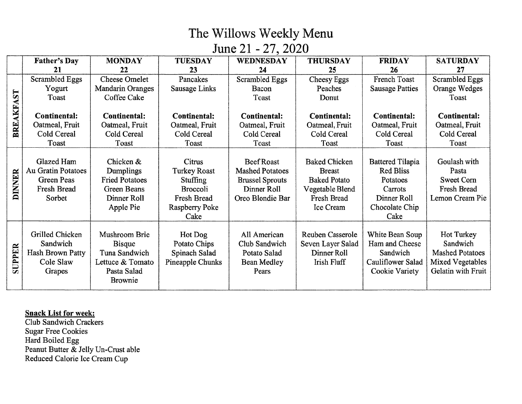June 21 - 27, 2020

|               | <b>Father's Day</b> | <b>MONDAY</b>           | <b>TUESDAY</b>      | <b>WEDNESDAY</b>       | <b>THURSDAY</b>      | <b>FRIDAY</b>           | <b>SATURDAY</b>        |
|---------------|---------------------|-------------------------|---------------------|------------------------|----------------------|-------------------------|------------------------|
|               | 21                  | 22                      | 23                  | 24                     | 25                   | 26                      | 27                     |
|               | Scrambled Eggs      | <b>Cheese Omelet</b>    | Pancakes            | <b>Scrambled Eggs</b>  | Cheesy Eggs          | French Toast            | <b>Scrambled Eggs</b>  |
|               | Yogurt              | <b>Mandarin Oranges</b> | Sausage Links       | Bacon                  | Peaches              | <b>Sausage Patties</b>  | Orange Wedges          |
|               | Toast               | Coffee Cake             |                     | Toast                  | Donut                |                         | Toast                  |
| BREAKFAST     |                     |                         |                     |                        |                      |                         |                        |
|               | <b>Continental:</b> | <b>Continental:</b>     | <b>Continental:</b> | <b>Continental:</b>    | <b>Continental:</b>  | <b>Continental:</b>     | <b>Continental:</b>    |
|               | Oatmeal, Fruit      | Oatmeal, Fruit          | Oatmeal, Fruit      | Oatmeal, Fruit         | Oatmeal, Fruit       | Oatmeal, Fruit          | Oatmeal, Fruit         |
|               | Cold Cereal         | Cold Cereal             | Cold Cereal         | Cold Cereal            | Cold Cereal          | Cold Cereal             | Cold Cereal            |
|               | Toast               | Toast                   | Toast               | Toast                  | Toast                | Toast                   | Toast                  |
|               |                     |                         |                     |                        |                      |                         |                        |
|               | Glazed Ham          | Chicken &               | Citrus              | <b>Beef Roast</b>      | <b>Baked Chicken</b> | <b>Battered Tilapia</b> | Goulash with           |
|               | Au Gratin Potatoes  | Dumplings               | <b>Turkey Roast</b> | <b>Mashed Potatoes</b> | <b>Breast</b>        | <b>Red Bliss</b>        | Pasta                  |
|               | <b>Green Peas</b>   | <b>Fried Potatoes</b>   | <b>Stuffing</b>     | <b>Brussel Sprouts</b> | <b>Baked Potato</b>  | Potatoes                | Sweet Corn             |
| <b>DINNER</b> | Fresh Bread         | <b>Green Beans</b>      | <b>Broccoli</b>     | Dinner Roll            | Vegetable Blend      | Carrots                 | Fresh Bread            |
|               | Sorbet              | Dinner Roll             | Fresh Bread         | Oreo Blondie Bar       | Fresh Bread          | Dinner Roll             | Lemon Cream Pie        |
|               |                     | Apple Pie               | Raspberry Poke      |                        | Ice Cream            | Chocolate Chip          |                        |
|               |                     |                         | Cake                |                        |                      | Cake                    |                        |
|               |                     |                         |                     |                        |                      |                         |                        |
|               | Grilled Chicken     | Mushroom Brie           | Hot Dog             | All American           | Reuben Casserole     | White Bean Soup         | Hot Turkey             |
|               | Sandwich            | <b>Bisque</b>           | Potato Chips        | Club Sandwich          | Seven Layer Salad    | Ham and Cheese          | Sandwich               |
| SUPPER        | Hash Brown Patty    | Tuna Sandwich           | Spinach Salad       | Potato Salad           | Dinner Roll          | Sandwich                | <b>Mashed Potatoes</b> |
|               | Cole Slaw           | Lettuce & Tomato        | Pineapple Chunks    | Bean Medley            | Irish Fluff          | Cauliflower Salad       | Mixed Vegetables       |
|               | Grapes              | Pasta Salad             |                     | Pears                  |                      | Cookie Variety          | Gelatin with Fruit     |
|               |                     | Brownie                 |                     |                        |                      |                         |                        |

# **Snack List for week:**<br>Club Sandwich Crackers

**Sugar Free Cookies** Hard Boiled Egg Peanut Butter & Jelly Un-Crust able Reduced Calorie Ice Cream Cup